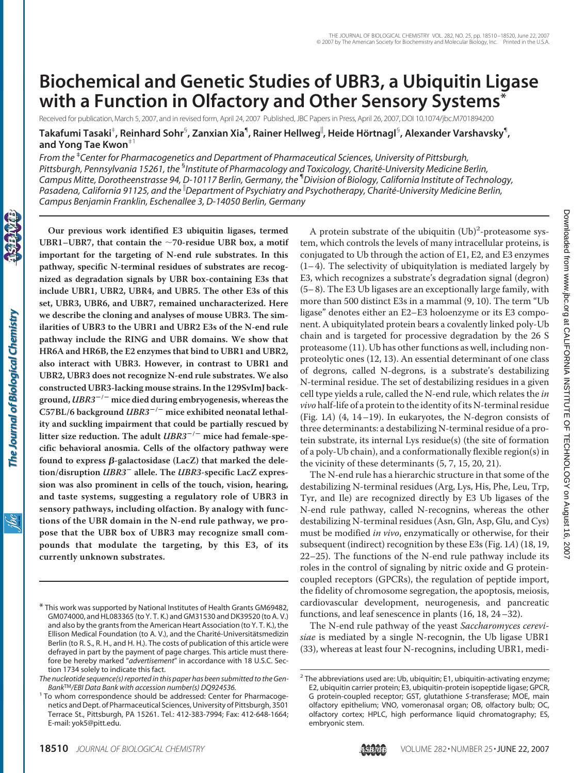# **Biochemical and Genetic Studies of UBR3, a Ubiquitin Ligase with a Function in Olfactory and Other Sensory Systems\***

Received for publication, March 5, 2007, and in revised form, April 24, 2007 Published, JBC Papers in Press, April 26, 2007, DOI 10.1074/jbc.M701894200

 $\bf{T}$ akafumi Tasaki $^{\ast}$ , Reinhard Sohr $^{\mathbb{S}}$ , Zanxian Xia $^{\mathbb{q}}$ , Rainer Hellweg $^{\mathbb{I}}$ , Heide Hörtnagl $^{\mathbb{S}}$ , Alexander Varshavsky $^{\mathbb{q}}$ , **and Yong Tae Kwon**‡1

*From the* ‡ *Center for Pharmacogenetics and Department of Pharmaceutical Sciences, University of Pittsburgh,* Pittsburgh, Pennsylvania 15261, the <sup>s</sup>Institute of Pharmacology and Toxicology, Charité-University Medicine Berlin, *Campus Mitte, Dorotheenstrasse 94, D-10117 Berlin, Germany, the* ¶ *Division of Biology, California Institute of Technology, Pasadena, California 91125, and the Department of Psychiatry and Psychotherapy, Charite´-University Medicine Berlin, Campus Benjamin Franklin, Eschenallee 3, D-14050 Berlin, Germany*

ibc

**Our previous work identified E3 ubiquitin ligases, termed UBR1–UBR7, that contain the 70-residue UBR box, a motif important for the targeting of N-end rule substrates. In this pathway, specific N-terminal residues of substrates are recognized as degradation signals by UBR box-containing E3s that include UBR1, UBR2, UBR4, and UBR5. The other E3s of this set, UBR3, UBR6, and UBR7, remained uncharacterized. Here we describe the cloning and analyses of mouse UBR3. The similarities of UBR3 to the UBR1 and UBR2 E3s of the N-end rule pathway include the RING and UBR domains. We show that HR6A and HR6B, the E2 enzymes that bind to UBR1 and UBR2, also interact with UBR3. However, in contrast to UBR1 and UBR2, UBR3 does not recognize N-end rule substrates. We also constructed UBR3-lacking mouse strains. In the 129SvImJ background,** *UBR3***/ mice died during embryogenesis, whereas the C57BL/6 background** *UBR3***/ mice exhibited neonatal lethality and suckling impairment that could be partially rescued by** litter size reduction. The adult *UBR3<sup>-/-</sup>* mice had female-spe**cific behavioral anosmia. Cells of the olfactory pathway were** found to express β-galactosidase (LacZ) that marked the dele**tion/disruption** *UBR3* **allele. The** *UBR3***-specific LacZ expression was also prominent in cells of the touch, vision, hearing, and taste systems, suggesting a regulatory role of UBR3 in sensory pathways, including olfaction. By analogy with functions of the UBR domain in the N-end rule pathway, we propose that the UBR box of UBR3 may recognize small compounds that modulate the targeting, by this E3, of its currently unknown substrates.**

A protein substrate of the ubiquitin  $(Ub)^2$ -proteasome system, which controls the levels of many intracellular proteins, is conjugated to Ub through the action of E1, E2, and E3 enzymes  $(1-4)$ . The selectivity of ubiquitylation is mediated largely by E3, which recognizes a substrate's degradation signal (degron) (5– 8). The E3 Ub ligases are an exceptionally large family, with more than 500 distinct E3s in a mammal (9, 10). The term "Ub ligase" denotes either an E2–E3 holoenzyme or its E3 component. A ubiquitylated protein bears a covalently linked poly-Ub chain and is targeted for processive degradation by the 26 S proteasome (11). Ub has other functions as well, including nonproteolytic ones (12, 13). An essential determinant of one class of degrons, called N-degrons, is a substrate's destabilizing N-terminal residue. The set of destabilizing residues in a given cell type yields a rule, called the N-end rule, which relates the *in vivo* half-life of a protein to the identity of its N-terminal residue (Fig. 1*A*) (4, 14–19). In eukaryotes, the N-degron consists of three determinants: a destabilizing N-terminal residue of a protein substrate, its internal Lys residue(s) (the site of formation of a poly-Ub chain), and a conformationally flexible region(s) in the vicinity of these determinants (5, 7, 15, 20, 21).

The N-end rule has a hierarchic structure in that some of the destabilizing N-terminal residues (Arg, Lys, His, Phe, Leu, Trp, Tyr, and Ile) are recognized directly by E3 Ub ligases of the N-end rule pathway, called N-recognins, whereas the other destabilizing N-terminal residues (Asn, Gln, Asp, Glu, and Cys) must be modified *in vivo*, enzymatically or otherwise, for their subsequent (indirect) recognition by these E3s (Fig. 1*A*) (18, 19, 22–25). The functions of the N-end rule pathway include its roles in the control of signaling by nitric oxide and G proteincoupled receptors (GPCRs), the regulation of peptide import, the fidelity of chromosome segregation, the apoptosis, meiosis, cardiovascular development, neurogenesis, and pancreatic functions, and leaf senescence in plants (16, 18, 24–32).

The N-end rule pathway of the yeast *Saccharomyces cerevisiae* is mediated by a single N-recognin, the Ub ligase UBR1 (33), whereas at least four N-recognins, including UBR1, medi-

<sup>\*</sup> This work was supported by National Institutes of Health Grants GM69482, GM074000, and HL083365 (to Y. T. K.) and GM31530 and DK39520 (to A. V.) and also by the grants from the American Heart Association (to Y. T. K.), the Ellison Medical Foundation (to A. V.), and the Charité-Universitätsmedizin Berlin (to R. S., R. H., and H. H.). The costs of publication of this article were defrayed in part by the payment of page charges. This article must therefore be hereby marked "*advertisement*" in accordance with 18 U.S.C. Section 1734 solely to indicate this fact.

*The nucleotide sequence(s) reported in this paper has been submitted to the Gen-*

<sup>&</sup>lt;sup>1</sup> To whom correspondence should be addressed: Center for Pharmacogenetics and Dept. of Pharmaceutical Sciences, University of Pittsburgh, 3501 Terrace St., Pittsburgh, PA 15261. Tel.: 412-383-7994; Fax: 412-648-1664; E-mail: yok5@pitt.edu.

<sup>&</sup>lt;sup>2</sup> The abbreviations used are: Ub, ubiquitin; E1, ubiquitin-activating enzyme; E2, ubiquitin carrier protein; E3, ubiquitin-protein isopeptide ligase; GPCR, G protein-coupled receptor; GST, glutathione *S*-transferase; MOE, main olfactory epithelium; VNO, vomeronasal organ; OB, olfactory bulb; OC, olfactory cortex; HPLC, high performance liquid chromatography; ES, embryonic stem.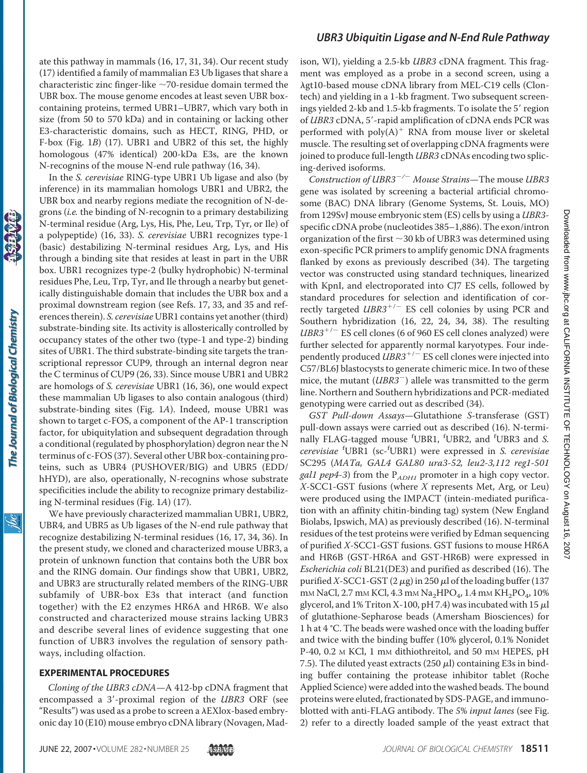ate this pathway in mammals (16, 17, 31, 34). Our recent study (17) identified a family of mammalian E3 Ub ligases that share a characteristic zinc finger-like  $\sim$ 70-residue domain termed the UBR box. The mouse genome encodes at least seven UBR boxcontaining proteins, termed UBR1–UBR7, which vary both in size (from 50 to 570 kDa) and in containing or lacking other E3-characteristic domains, such as HECT, RING, PHD, or F-box (Fig. 1*B*) (17). UBR1 and UBR2 of this set, the highly homologous (47% identical) 200-kDa E3s, are the known N-recognins of the mouse N-end rule pathway (16, 34).

In the *S. cerevisiae* RING-type UBR1 Ub ligase and also (by inference) in its mammalian homologs UBR1 and UBR2, the UBR box and nearby regions mediate the recognition of N-degrons (*i.e.* the binding of N-recognin to a primary destabilizing N-terminal residue (Arg, Lys, His, Phe, Leu, Trp, Tyr, or Ile) of a polypeptide) (16, 33). *S. cerevisiae* UBR1 recognizes type-1 (basic) destabilizing N-terminal residues Arg, Lys, and His through a binding site that resides at least in part in the UBR box. UBR1 recognizes type-2 (bulky hydrophobic) N-terminal residues Phe, Leu, Trp, Tyr, and Ile through a nearby but genetically distinguishable domain that includes the UBR box and a proximal downstream region (see Refs. 17, 33, and 35 and references therein). *S. cerevisiae* UBR1 contains yet another (third) substrate-binding site. Its activity is allosterically controlled by occupancy states of the other two (type-1 and type-2) binding sites of UBR1. The third substrate-binding site targets the transcriptional repressor CUP9, through an internal degron near the C terminus of CUP9 (26, 33). Since mouse UBR1 and UBR2 are homologs of *S. cerevisiae* UBR1 (16, 36), one would expect these mammalian Ub ligases to also contain analogous (third) substrate-binding sites (Fig. 1*A*). Indeed, mouse UBR1 was shown to target c-FOS, a component of the AP-1 transcription factor, for ubiquitylation and subsequent degradation through a conditional (regulated by phosphorylation) degron near the N terminus of c-FOS (37). Several other UBR box-containing proteins, such as UBR4 (PUSHOVER/BIG) and UBR5 (EDD/ hHYD), are also, operationally, N-recognins whose substrate specificities include the ability to recognize primary destabilizing N-terminal residues (Fig. 1*A*) (17).

We have previously characterized mammalian UBR1, UBR2, UBR4, and UBR5 as Ub ligases of the N-end rule pathway that recognize destabilizing N-terminal residues (16, 17, 34, 36). In the present study, we cloned and characterized mouse UBR3, a protein of unknown function that contains both the UBR box and the RING domain. Our findings show that UBR1, UBR2, and UBR3 are structurally related members of the RING-UBR subfamily of UBR-box E3s that interact (and function together) with the E2 enzymes HR6A and HR6B. We also constructed and characterized mouse strains lacking UBR3 and describe several lines of evidence suggesting that one function of UBR3 involves the regulation of sensory pathways, including olfaction.

#### **EXPERIMENTAL PROCEDURES**

*Cloning of the UBR3 cDNA*—A 412-bp cDNA fragment that encompassed a 3'-proximal region of the *UBR3* ORF (see "Results") was used as a probe to screen a  $\lambda$ EXlox-based embryonic day 10 (E10) mouse embryo cDNA library (Novagen, Madison, WI), yielding a 2.5-kb *UBR3* cDNA fragment. This fragment was employed as a probe in a second screen, using a  $\lambda$ gt10-based mouse cDNA library from MEL-C19 cells (Clontech) and yielding in a 1-kb fragment. Two subsequent screenings yielded 2-kb and 1.5-kb fragments. To isolate the 5' region of *UBR3* cDNA, 5'-rapid amplification of cDNA ends PCR was performed with  $poly(A)^+$  RNA from mouse liver or skeletal muscle. The resulting set of overlapping cDNA fragments were joined to produce full-length *UBR3* cDNAs encoding two splicing-derived isoforms.

*Construction of UBR3/ Mouse Strains*—The mouse *UBR3* gene was isolated by screening a bacterial artificial chromosome (BAC) DNA library (Genome Systems, St. Louis, MO) from 129SvJ mouse embryonic stem (ES) cells by using a *UBR3* specific cDNA probe (nucleotides 385–1,886). The exon/intron organization of the first  $\sim$  30 kb of UBR3 was determined using exon-specific PCR primers to amplify genomic DNA fragments flanked by exons as previously described (34). The targeting vector was constructed using standard techniques, linearized with KpnI, and electroporated into CJ7 ES cells, followed by standard procedures for selection and identification of correctly targeted *UBR3<sup>+/-</sup>* ES cell colonies by using PCR and Southern hybridization (16, 22, 24, 34, 38). The resulting  $UBR3^{+/}$  ES cell clones (6 of 960 ES cell clones analyzed) were further selected for apparently normal karyotypes. Four independently produced *UBR3<sup>+/-</sup>* ES cell clones were injected into C57/BL6J blastocysts to generate chimeric mice. In two of these mice, the mutant (*UBR3*<sup>-</sup>) allele was transmitted to the germ line. Northern and Southern hybridizations and PCR-mediated genotyping were carried out as described (34).

*GST Pull-down Assays*—Glutathione *S*-transferase (GST) pull-down assays were carried out as described (16). N-terminally FLAG-tagged mouse <sup>f</sup> UBR1, <sup>f</sup> UBR2, and <sup>f</sup> UBR3 and *S. cerevisiae* <sup>f</sup> UBR1 (sc-<sup>f</sup> UBR1) were expressed in *S. cerevisiae* SC295 (*MATa, GAL4 GAL80 ura3*-*52, leu2*-*3,112 reg1*-*501 gal1 pep4*-*3*) from the P*ADH1* promoter in a high copy vector. *X*-SCC1-GST fusions (where *X* represents Met, Arg, or Leu) were produced using the IMPACT (intein-mediated purification with an affinity chitin-binding tag) system (New England Biolabs, Ipswich, MA) as previously described (16). N-terminal residues of the test proteins were verified by Edman sequencing of purified *X*-SCC1-GST fusions. GST fusions to mouse HR6A and HR6B (GST-HR6A and GST-HR6B) were expressed in *Escherichia coli* BL21(DE3) and purified as described (16). The purified *X*-SCC1-GST (2  $\mu$ g) in 250  $\mu$ l of the loading buffer (137 mm NaCl, 2.7 mm KCl, 4.3 mm Na<sub>2</sub>HPO<sub>4</sub>, 1.4 mm KH<sub>2</sub>PO<sub>4</sub>, 10% glycerol, and 1% Triton X-100, pH 7.4) was incubated with 15  $\mu$ l of glutathione-Sepharose beads (Amersham Biosciences) for 1 h at 4 °C. The beads were washed once with the loading buffer and twice with the binding buffer (10% glycerol, 0.1% Nonidet P-40, 0.2 M KCl, 1 mM dithiothreitol, and 50 mM HEPES, pH 7.5). The diluted yeast extracts (250  $\mu$ l) containing E3s in binding buffer containing the protease inhibitor tablet (Roche Applied Science) were added into the washed beads. The bound proteins were eluted, fractionated by SDS-PAGE, and immunoblotted with anti-FLAG antibody. The *5*% *input lanes* (see Fig. 2) refer to a directly loaded sample of the yeast extract that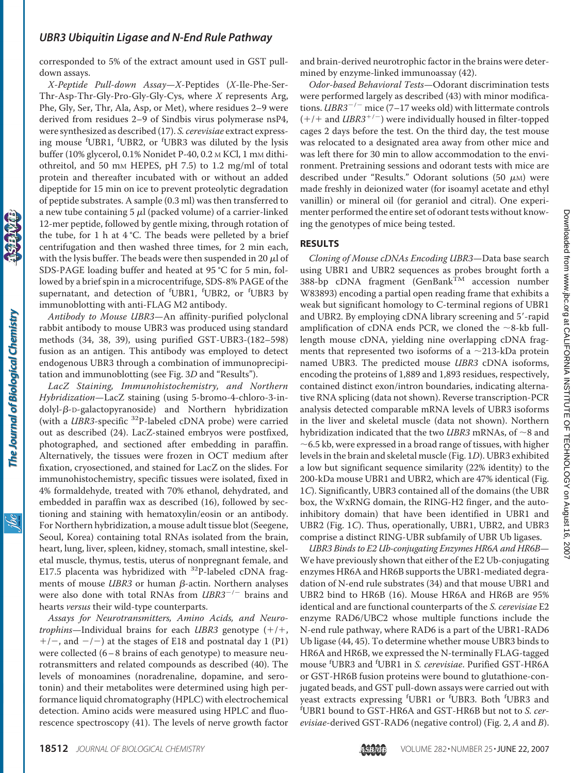corresponded to 5% of the extract amount used in GST pulldown assays.

*X-Peptide Pull-down Assay*—*X*-Peptides (*X*-Ile-Phe-Ser-Thr-Asp-Thr-Gly-Pro-Gly-Gly-Cys, where *X* represents Arg, Phe, Gly, Ser, Thr, Ala, Asp, or Met), where residues 2–9 were derived from residues 2–9 of Sindbis virus polymerase nsP4, were synthesized as described (17). *S. cerevisiae* extract expressing mouse <sup>f</sup>UBR1, <sup>f</sup>UBR2, or <sup>f</sup>UBR3 was diluted by the lysis buffer (10% glycerol, 0.1% Nonidet P-40, 0.2 M KCl, 1 mM dithiothreitol, and 50 mM HEPES, pH 7.5) to 1.2 mg/ml of total protein and thereafter incubated with or without an added dipeptide for 15 min on ice to prevent proteolytic degradation of peptide substrates. A sample (0.3 ml) was then transferred to a new tube containing 5  $\mu$ l (packed volume) of a carrier-linked 12-mer peptide, followed by gentle mixing, through rotation of the tube, for 1 h at  $4^{\circ}$ C. The beads were pelleted by a brief centrifugation and then washed three times, for 2 min each, with the lysis buffer. The beads were then suspended in 20  $\mu$ l of SDS-PAGE loading buffer and heated at 95 °C for 5 min, followed by a brief spin in a microcentrifuge, SDS-8% PAGE of the supernatant, and detection of <sup>f</sup>UBR1, <sup>f</sup>UBR2, or <sup>f</sup>UBR3 by immunoblotting with anti-FLAG M2 antibody.

*Antibody to Mouse UBR3*—An affinity-purified polyclonal rabbit antibody to mouse UBR3 was produced using standard methods (34, 38, 39), using purified GST-UBR3-(182–598) fusion as an antigen. This antibody was employed to detect endogenous UBR3 through a combination of immunoprecipitation and immunoblotting (see Fig. 3*D* and "Results").

*LacZ Staining, Immunohistochemistry, and Northern Hybridization*—LacZ staining (using 5-bromo-4-chloro-3-in $d$ olyl- $\beta$ -D-galactopyranoside) and Northern hybridization (with a *UBR3*-specific <sup>32</sup>P-labeled cDNA probe) were carried out as described (24). LacZ-stained embryos were postfixed, photographed, and sectioned after embedding in paraffin. Alternatively, the tissues were frozen in OCT medium after fixation, cryosectioned, and stained for LacZ on the slides. For immunohistochemistry, specific tissues were isolated, fixed in 4% formaldehyde, treated with 70% ethanol, dehydrated, and embedded in paraffin wax as described (16), followed by sectioning and staining with hematoxylin/eosin or an antibody. For Northern hybridization, a mouse adult tissue blot (Seegene, Seoul, Korea) containing total RNAs isolated from the brain, heart, lung, liver, spleen, kidney, stomach, small intestine, skeletal muscle, thymus, testis, uterus of nonpregnant female, and E17.5 placenta was hybridized with <sup>32</sup>P-labeled cDNA fragments of mouse  $UBR3$  or human  $\beta$ -actin. Northern analyses were also done with total RNAs from *UBR3<sup>-/-</sup>* brains and hearts *versus* their wild-type counterparts.

*Assays for Neurotransmitters, Amino Acids, and Neurotrophins*—Individual brains for each *UBR3* genotype  $(+/+,$  $+/-$ , and  $-/-$ ) at the stages of E18 and postnatal day 1 (P1) were collected (6 - 8 brains of each genotype) to measure neurotransmitters and related compounds as described (40). The levels of monoamines (noradrenaline, dopamine, and serotonin) and their metabolites were determined using high performance liquid chromatography (HPLC) with electrochemical detection. Amino acids were measured using HPLC and fluorescence spectroscopy (41). The levels of nerve growth factor and brain-derived neurotrophic factor in the brains were determined by enzyme-linked immunoassay (42).

*Odor-based Behavioral Tests*—Odorant discrimination tests were performed largely as described (43) with minor modifications. *UBR3<sup>-/-</sup>* mice (7-17 weeks old) with littermate controls  $(+/+)$  and *UBR3<sup>+/-</sup>*) were individually housed in filter-topped cages 2 days before the test. On the third day, the test mouse was relocated to a designated area away from other mice and was left there for 30 min to allow accommodation to the environment. Pretraining sessions and odorant tests with mice are described under "Results." Odorant solutions (50  $\mu$ M) were made freshly in deionized water (for isoamyl acetate and ethyl vanillin) or mineral oil (for geraniol and citral). One experimenter performed the entire set of odorant tests without knowing the genotypes of mice being tested.

### **RESULTS**

*Cloning of Mouse cDNAs Encoding UBR3*—Data base search using UBR1 and UBR2 sequences as probes brought forth a 388-bp cDNA fragment (GenBank<sup>TM</sup> accession number W83893) encoding a partial open reading frame that exhibits a weak but significant homology to C-terminal regions of UBR1 and UBR2. By employing cDNA library screening and 5'-rapid amplification of cDNA ends PCR, we cloned the  $\sim$ 8-kb fulllength mouse cDNA, yielding nine overlapping cDNA fragments that represented two isoforms of a  $\sim$ 213-kDa protein named UBR3. The predicted mouse *UBR3* cDNA isoforms, encoding the proteins of 1,889 and 1,893 residues, respectively, contained distinct exon/intron boundaries, indicating alternative RNA splicing (data not shown). Reverse transcription-PCR analysis detected comparable mRNA levels of UBR3 isoforms in the liver and skeletal muscle (data not shown). Northern hybridization indicated that the two *UBR3* mRNAs, of  $\sim$ 8 and  $\sim$  6.5 kb, were expressed in a broad range of tissues, with higher levels in the brain and skeletal muscle (Fig. 1*D*). UBR3 exhibited a low but significant sequence similarity (22% identity) to the 200-kDa mouse UBR1 and UBR2, which are 47% identical (Fig. 1*C*). Significantly, UBR3 contained all of the domains (the UBR box, the WxRNG domain, the RING-H2 finger, and the autoinhibitory domain) that have been identified in UBR1 and UBR2 (Fig. 1*C*). Thus, operationally, UBR1, UBR2, and UBR3 comprise a distinct RING-UBR subfamily of UBR Ub ligases.

*UBR3 Binds to E2 Ub-conjugating Enzymes HR6A and HR6B*— We have previously shown that either of the E2 Ub-conjugating enzymes HR6A and HR6B supports the UBR1-mediated degradation of N-end rule substrates (34) and that mouse UBR1 and UBR2 bind to HR6B (16). Mouse HR6A and HR6B are 95% identical and are functional counterparts of the *S. cerevisiae* E2 enzyme RAD6/UBC2 whose multiple functions include the N-end rule pathway, where RAD6 is a part of the UBR1-RAD6 Ub ligase (44, 45). To determine whether mouse UBR3 binds to HR6A and HR6B, we expressed the N-terminally FLAG-tagged mouse <sup>f</sup> UBR3 and <sup>f</sup> UBR1 in *S. cerevisiae*. Purified GST-HR6A or GST-HR6B fusion proteins were bound to glutathione-conjugated beads, and GST pull-down assays were carried out with yeast extracts expressing <sup>f</sup>UBR1 or <sup>f</sup>UBR3. Both <sup>f</sup>UBR3 and<br><sup>f</sup>UBR1 bound to GST-HR6A and GST-HR6B but not to S. cer. UBR1 bound to GST-HR6A and GST-HR6B but not to *S. cerevisiae*-derived GST-RAD6 (negative control) (Fig. 2, *A* and *B*).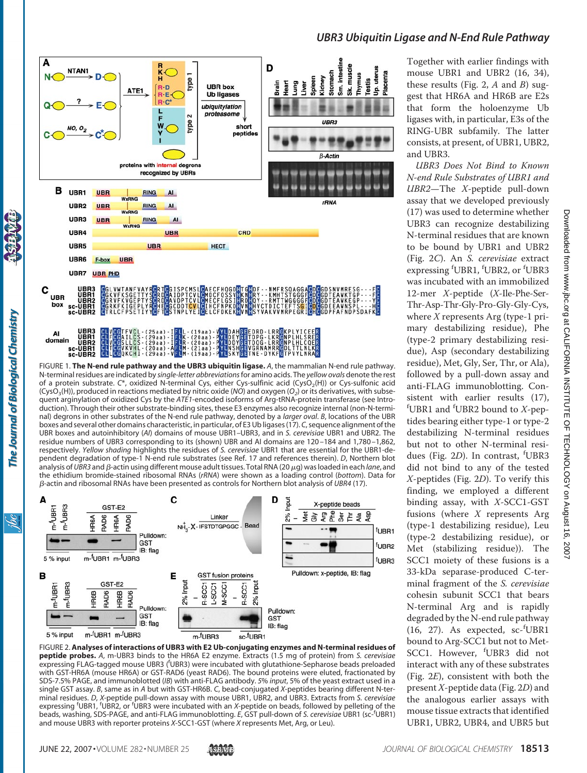

FIGURE 1. **The N-end rule pathway and the UBR3 ubiquitin ligase.** *A*, the mammalian N-end rule pathway. N-terminal residues are indicated by *single-letter abbreviations*for amino acids. The *yellow ovals* denote the rest of a protein substrate. C\*, oxidized N-terminal Cys, either Cys-sulfinic acid (CysO<sub>2</sub>(H)) or Cys-sulfonic acid  $(CysO<sub>3</sub>(H))$ , produced in reactions mediated by nitric oxide (*NO*) and oxygen (*O<sub>2</sub>*) or its derivatives, with subsequent arginylation of oxidized Cys by the *ATE1*-encoded isoforms of Arg-tRNA-protein transferase (see Introduction). Through their other substrate-binding sites, these E3 enzymes also recognize internal (non-N-terminal) degrons in other substrates of the N-end rule pathway, denoted by a *larger oval*. *B*, locations of the UBR boxes and several other domains characteristic, in particular, of E3 Ub ligases (17). *C*, sequence alignment of the UBR boxes and autoinhibitory (*AI*) domains of mouse UBR1–UBR3, and in *S. cerevisiae* UBR1 and UBR2. The residue numbers of UBR3 corresponding to its (shown) UBR and AI domains are 120 –184 and 1,780 –1,862, respectively. *Yellow shading* highlights the residues of *S. cerevisiae* UBR1 that are essential for the UBR1-dependent degradation of type-1 N-end rule substrates (see Ref. 17 and references therein). *D*, Northern blot analysis of *UBR3* and *β-*actin using different mouse adult tissues. Total RNA (20 μg) was loaded in each *lane*, and the ethidium bromide-stained ribosomal RNAs (*rRNA*) were shown as a loading control (*bottom*). Data for -actin and ribosomal RNAs have been presented as controls for Northern blot analysis of *UBR4* (17).



FIGURE 2. **Analyses of interactions of UBR3 with E2 Ub-conjugating enzymes and N-terminal residues of peptide probes.** *A*, m-UBR3 binds to the HR6A E2 enzyme. Extracts (1.5 mg of protein) from *S. cerevisiae* expressing FLAG-tagged mouse UBR3 (<sup>f</sup> UBR3) were incubated with glutathione-Sepharose beads preloaded with GST-HR6A (mouse HR6A) or GST-RAD6 (yeast RAD6). The bound proteins were eluted, fractionated by SDS-7.5% PAGE, and immunoblotted (*IB*) with anti-FLAG antibody. *5*% *input*, 5% of the yeast extract used in a single GST assay. *B*, same as in *A* but with GST-HR6B. *C*, bead-conjugated *X*-peptides bearing different N-terminal residues. *D*, *X*-peptide pull-down assay with mouse UBR1, UBR2, and UBR3. Extracts from *S. cerevisiae* expressing <sup>f</sup>UBR1, <sup>f</sup>UBR2, or <sup>f</sup>UBR3 were incubated with an *X*-peptide on beads, followed by pelleting of the beads, washing, SDS-PAGE, and anti-FLAG immunoblotting. *E*, GST pull-down of *S. cerevisiae* UBR1 (sc-<sup>f</sup> UBR1) and mouse UBR3 with reporter proteins *X*-SCC1-GST (where *X* represents Met, Arg, or Leu).

### Together with earlier findings with mouse UBR1 and UBR2 (16, 34), these results (Fig. 2, *A* and *B*) suggest that HR6A and HR6B are E2s that form the holoenzyme Ub ligases with, in particular, E3s of the RING-UBR subfamily. The latter consists, at present, of UBR1, UBR2, and UBR3.

*UBR3 Ubiquitin Ligase and N-End Rule Pathway*

*UBR3 Does Not Bind to Known N-end Rule Substrates of UBR1 and UBR2*—The *X*-peptide pull-down assay that we developed previously (17) was used to determine whether UBR3 can recognize destabilizing N-terminal residues that are known to be bound by UBR1 and UBR2 (Fig. 2*C*). An *S. cerevisiae* extract expressing <sup>f</sup>UBR1, <sup>f</sup>UBR2, or <sup>f</sup>UBR3 was incubated with an immobilized 12-mer *X*-peptide (*X*-Ile-Phe-Ser-Thr-Asp-Thr-Gly-Pro-Gly-Gly-Cys, where *X* represents Arg (type-1 primary destabilizing residue), Phe (type-2 primary destabilizing residue), Asp (secondary destabilizing residue), Met, Gly, Ser, Thr, or Ala), followed by a pull-down assay and anti-FLAG immunoblotting. Consistent with earlier results (17), f UBR1 and <sup>f</sup> UBR2 bound to *X*-peptides bearing either type-1 or type-2 destabilizing N-terminal residues but not to other N-terminal residues (Fig. 2D). In contrast, <sup>f</sup>UBR3 did not bind to any of the tested *X*-peptides (Fig. 2*D*). To verify this finding, we employed a different binding assay, with *X*-SCC1-GST fusions (where *X* represents Arg (type-1 destabilizing residue), Leu (type-2 destabilizing residue), or Met (stabilizing residue)). The SCC1 moiety of these fusions is a 33-kDa separase-produced C-terminal fragment of the *S. cerevisiae* cohesin subunit SCC1 that bears N-terminal Arg and is rapidly degraded by the N-end rule pathway (16, 27). As expected, sc-<sup>f</sup> UBR1 bound to Arg-SCC1 but not to Met-SCC1. However, <sup>f</sup> UBR3 did not interact with any of these substrates (Fig. 2*E*), consistent with both the present*X*-peptide data (Fig. 2*D*) and the analogous earlier assays with mouse tissue extracts that identified UBR1, UBR2, UBR4, and UBR5 but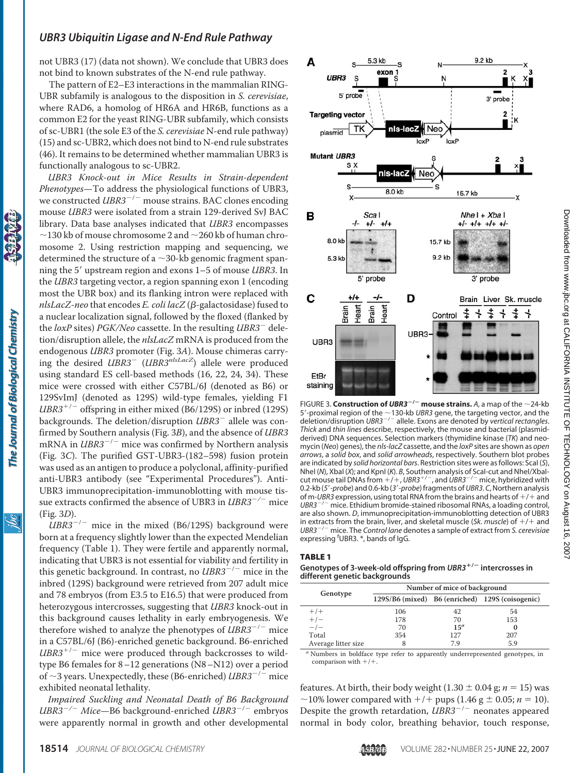not UBR3 (17) (data not shown). We conclude that UBR3 does not bind to known substrates of the N-end rule pathway.

The pattern of E2–E3 interactions in the mammalian RING-UBR subfamily is analogous to the disposition in *S. cerevisiae*, where RAD6, a homolog of HR6A and HR6B, functions as a common E2 for the yeast RING-UBR subfamily, which consists of sc-UBR1 (the sole E3 of the *S. cerevisiae* N-end rule pathway) (15) and sc-UBR2, which does not bind to N-end rule substrates (46). It remains to be determined whether mammalian UBR3 is functionally analogous to sc-UBR2.

*UBR3 Knock-out in Mice Results in Strain-dependent Phenotypes*—To address the physiological functions of UBR3, we constructed *UBR3<sup>-/-</sup>* mouse strains. BAC clones encoding mouse *UBR3* were isolated from a strain 129-derived SvJ BAC library. Data base analyses indicated that *UBR3* encompasses  $\sim$ 130 kb of mouse chromosome 2 and  $\sim$ 260 kb of human chromosome 2. Using restriction mapping and sequencing, we determined the structure of a  $\sim$ 30-kb genomic fragment spanning the 5' upstream region and exons 1–5 of mouse *UBR3*. In the *UBR3* targeting vector, a region spanning exon 1 (encoding most the UBR box) and its flanking intron were replaced with *nlsLacZ-neo* that encodes *E. coli lacZ* (β-galactosidase) fused to a nuclear localization signal, followed by the floxed (flanked by the *loxP* sites) *PGK/Neo* cassette. In the resulting *UBR3*<sup>-</sup> deletion/disruption allele, the *nlsLacZ* mRNA is produced from the endogenous *UBR3* promoter (Fig. 3*A*). Mouse chimeras carrying the desired *UBR3* (*UBR3nlsLacZ*) allele were produced using standard ES cell-based methods (16, 22, 24, 34). These mice were crossed with either C57BL/6J (denoted as B6) or 129SvImJ (denoted as 129S) wild-type females, yielding F1  $UBR3^{+/-}$  offspring in either mixed (B6/129S) or inbred (129S) backgrounds. The deletion/disruption *UBR3*<sup>-</sup> allele was confirmed by Southern analysis (Fig. 3*B*), and the absence of *UBR3* mRNA in  $UBR3^{-/-}$  mice was confirmed by Northern analysis (Fig. 3*C*). The purified GST-UBR3-(182–598) fusion protein was used as an antigen to produce a polyclonal, affinity-purified anti-UBR3 antibody (see "Experimental Procedures"). Anti-UBR3 immunoprecipitation-immunoblotting with mouse tissue extracts confirmed the absence of UBR3 in *UBR3<sup>-/-</sup>* mice (Fig. 3*D*).

The Journal of Biological Chemistry

<u>івс</u>

 $UBR3^{-/-}$  mice in the mixed (B6/129S) background were born at a frequency slightly lower than the expected Mendelian frequency (Table 1). They were fertile and apparently normal, indicating that UBR3 is not essential for viability and fertility in this genetic background. In contrast, no  $UBR3^{-/-}$  mice in the inbred (129S) background were retrieved from 207 adult mice and 78 embryos (from E3.5 to E16.5) that were produced from heterozygous intercrosses, suggesting that *UBR3* knock-out in this background causes lethality in early embryogenesis. We therefore wished to analyze the phenotypes of  $UBR3^{-/-}$  mice in a C57BL/6J (B6)-enriched genetic background. B6-enriched  $UBR3^{+/}$  mice were produced through backcrosses to wildtype B6 females for 8–12 generations (N8–N12) over a period of  $\sim$ 3 years. Unexpectedly, these (B6-enriched) *UBR3<sup>-/-</sup>* mice exhibited neonatal lethality.

*Impaired Suckling and Neonatal Death of B6 Background UBR3<sup>-/-</sup> Mice*—B6 background-enriched *UBR3*<sup>-/-</sup> embryos were apparently normal in growth and other developmental



FIGURE 3. **Construction of UBR3<sup>** $-/-$ **</sup> mouse strains.** A, a map of the  $\sim$ 24-kb 5'-proximal region of the  $\sim$ 130-kb *UBR3* gene, the targeting vector, and the<br>deletion/disruption *UBR3<sup>-/-</sup>* allele. Exons are denoted by *vertical rectangles*. *Thick* and *thin lines* describe, respectively, the mouse and bacterial (plasmidderived) DNA sequences. Selection markers (thymidine kinase (*TK*) and neomycin (*Neo*) genes), the *nls-lacZ* cassette, and the *loxP* sites are shown as *open arrows*, a *solid box*, and *solid arrowheads*, respectively. Southern blot probes are indicated by *solid horizontal bars*. Restriction sites were as follows: ScaI (*S*), NheI (*N*), XbaI (*X*); and KpnI (*K*). *B*, Southern analysis of ScaI-cut and NheI/XbaIcut mouse tail DNAs from  $+/+$ , UBR3<sup>+/-</sup>, and  $UBR3^{-/-}$  mice, hybridized with 0.2-kb (5'-probe) and 0.6-kb (3'-probe) fragments of UBR3. C, Northern analysis of m-*UBR3* expression, using total RNA from the brains and hearts of  $+/+$  and  $UBR3^{-/-}$  mice. Fthidium bromide-stained ribosomal RNAs, a loading control. <sup>-</sup> mice. Ethidium bromide-stained ribosomal RNAs, a loading control, are also shown. *D*, immunoprecipitation-immunoblotting detection of UBR3 in extracts from the brain, liver, and skeletal muscle (*Sk. muscle*) of  $+/+$  and<br>*UBR3<sup>-/-</sup> mice.* The *Control lane* denotes a sample of extract from *S. cerevisiae* expressing <sup>f</sup>UBR3. \*, bands of IgG.

#### TABLE 1

#### **Genotypes of 3-week-old offspring from** *UBR3***/ intercrosses in different genetic backgrounds**

|                     | Number of mice of background |                 |                                                 |  |  |  |  |
|---------------------|------------------------------|-----------------|-------------------------------------------------|--|--|--|--|
| Genotype            |                              |                 | 129S/B6 (mixed) B6 (enriched) 129S (coisogenic) |  |  |  |  |
| $+/+$               | 106                          | 42              | 54                                              |  |  |  |  |
| $+/-$               | 178                          | 70              | 153                                             |  |  |  |  |
| $-\dot{I}$          | 70                           | 15 <sup>a</sup> |                                                 |  |  |  |  |
| Total               | 354                          | 127             | 207                                             |  |  |  |  |
| Average litter size |                              | 79              | 5.9                                             |  |  |  |  |

*<sup>a</sup>* Numbers in boldface type refer to apparently underrepresented genotypes, in comparison with  $+/-$ 

features. At birth, their body weight (1.30  $\pm$  0.04 g; *n* = 15) was  $\sim$ 10% lower compared with  $+/+$  pups (1.46 g  $\pm$  0.05; *n* = 10). Despite the growth retardation, *UBR3<sup>-/-</sup>* neonates appeared normal in body color, breathing behavior, touch response,

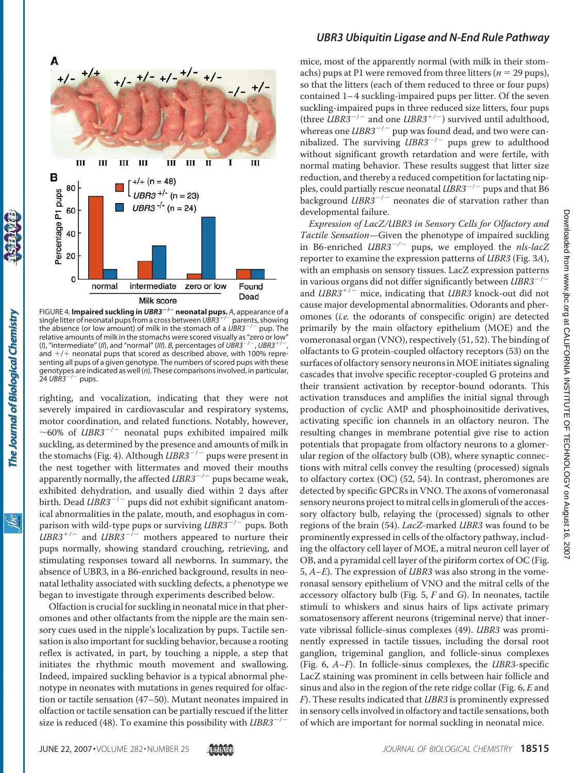

FIGURE 4. **Impaired suckling in** *UBR3***/ neonatal pups.** *A*, appearance of a single litter of neonatal pups from a cross between UBR3<sup>+/-</sup> parents, showing the absence (or low amount) of milk in the stomach of a *UBR3<sup>-/-</sup>* pup. The relative amounts of milk in the stomachs were scored visually as "zero or low"<br>(*l*), "intermediate" (*ll*), and "normal" (*lll*). *B*, percentages of *UBR3<sup>-/-</sup>*, *UBR3*<sup>+/-</sup>, (*I*), "intermediate" (*II*), and "normal" (*III*). *B*, percentages of *UBR3<sup>-/-</sup>* and  $+/+$  neonatal pups that scored as described above, with 100% representing all pups of a given genotype. The numbers of scored pups with these genotypes are indicated as well (*n*). These comparisons involved, in particular,  $24 \text{ UBR3}^{-/-}$  pups.

righting, and vocalization, indicating that they were not severely impaired in cardiovascular and respiratory systems, motor coordination, and related functions. Notably, however,  $\sim$ 60% of *UBR3<sup>-/-</sup>* neonatal pups exhibited impaired milk suckling, as determined by the presence and amounts of milk in the stomachs (Fig. 4). Although  $UBR3^{-/-}$  pups were present in the nest together with littermates and moved their mouths apparently normally, the affected *UBR3<sup>-/-</sup>* pups became weak, exhibited dehydration, and usually died within 2 days after birth. Dead *UBR3<sup>-/-</sup>* pups did not exhibit significant anatomical abnormalities in the palate, mouth, and esophagus in comparison with wild-type pups or surviving *UBR3<sup>-/-</sup>* pups. Both  $UBR3^{+/}$  and  $UBR3^{-/-}$  mothers appeared to nurture their pups normally, showing standard crouching, retrieving, and stimulating responses toward all newborns. In summary, the absence of UBR3, in a B6-enriched background, results in neonatal lethality associated with suckling defects, a phenotype we began to investigate through experiments described below.

Olfaction is crucial for suckling in neonatal mice in that pheromones and other olfactants from the nipple are the main sensory cues used in the nipple's localization by pups. Tactile sensation is also important for suckling behavior, because a rooting reflex is activated, in part, by touching a nipple, a step that initiates the rhythmic mouth movement and swallowing. Indeed, impaired suckling behavior is a typical abnormal phenotype in neonates with mutations in genes required for olfaction or tactile sensation (47–50). Mutant neonates impaired in olfaction or tactile sensation can be partially rescued if the litter size is reduced (48). To examine this possibility with  $UBR3^{-/-}$ 

# *UBR3 Ubiquitin Ligase and N-End Rule Pathway*

mice, most of the apparently normal (with milk in their stomachs) pups at P1 were removed from three litters ( $n = 29$  pups), so that the litters (each of them reduced to three or four pups) contained 1–4 suckling-impaired pups per litter. Of the seven suckling-impaired pups in three reduced size litters, four pups (three  $UBR3^{-/-}$  and one  $UBR3^{+/-}$ ) survived until adulthood, whereas one *UBR3<sup>-/-</sup>* pup was found dead, and two were cannibalized. The surviving  $UBR3^{-/-}$  pups grew to adulthood without significant growth retardation and were fertile, with normal mating behavior. These results suggest that litter size reduction, and thereby a reduced competition for lactating nipples, could partially rescue neonatal *UBR3<sup>-/-</sup>* pups and that B6 background  $UBR3^{-/-}$  neonates die of starvation rather than developmental failure.

*Expression of LacZ/UBR3 in Sensory Cells for Olfactory and Tactile Sensation*—Given the phenotype of impaired suckling in B6-enriched *UBR3<sup>-/-</sup>* pups, we employed the *nls-lacZ* reporter to examine the expression patterns of *UBR3* (Fig. 3*A*), with an emphasis on sensory tissues. LacZ expression patterns in various organs did not differ significantly between *UBR3<sup>-/-</sup>* and *UBR3<sup>+/-</sup>* mice, indicating that *UBR3* knock-out did not cause major developmental abnormalities. Odorants and pheromones (*i.e.* the odorants of conspecific origin) are detected primarily by the main olfactory epithelium (MOE) and the vomeronasal organ (VNO), respectively (51, 52). The binding of olfactants to G protein-coupled olfactory receptors (53) on the surfaces of olfactory sensory neurons in MOE initiates signaling cascades that involve specific receptor-coupled G proteins and their transient activation by receptor-bound odorants. This activation transduces and amplifies the initial signal through production of cyclic AMP and phosphoinositide derivatives, activating specific ion channels in an olfactory neuron. The resulting changes in membrane potential give rise to action potentials that propagate from olfactory neurons to a glomerular region of the olfactory bulb (OB), where synaptic connections with mitral cells convey the resulting (processed) signals to olfactory cortex (OC) (52, 54). In contrast, pheromones are detected by specific GPCRs in VNO. The axons of vomeronasal sensory neurons project to mitral cells in glomeruli of the accessory olfactory bulb, relaying the (processed) signals to other regions of the brain (54). *LacZ*-marked *UBR3* was found to be prominently expressed in cells of the olfactory pathway, including the olfactory cell layer of MOE, a mitral neuron cell layer of OB, and a pyramidal cell layer of the piriform cortex of OC (Fig. 5, *A–E*). The expression of *UBR3* was also strong in the vomeronasal sensory epithelium of VNO and the mitral cells of the accessory olfactory bulb (Fig. 5, *F* and *G*). In neonates, tactile stimuli to whiskers and sinus hairs of lips activate primary somatosensory afferent neurons (trigeminal nerve) that innervate vibrissal follicle-sinus complexes (49). *UBR3* was prominently expressed in tactile tissues, including the dorsal root ganglion, trigeminal ganglion, and follicle-sinus complexes (Fig. 6, *A–F*). In follicle-sinus complexes, the *UBR3*-specific LacZ staining was prominent in cells between hair follicle and sinus and also in the region of the rete ridge collar (Fig. 6, *E* and *F*). These results indicated that *UBR3* is prominently expressed in sensory cells involved in olfactory and tactile sensations, both of which are important for normal suckling in neonatal mice.

ŇС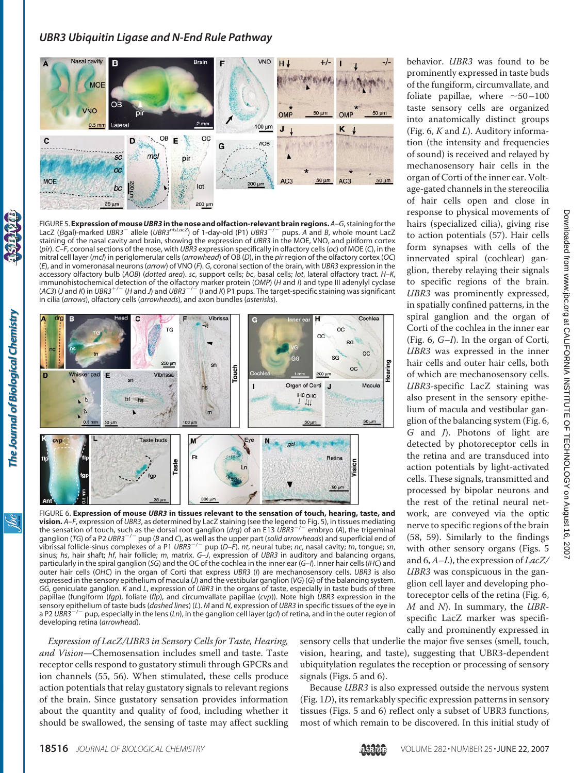

FIGURE 5. **Expression ofmouse***UBR3* **in the nose and olfaction-relevant brain regions.***A–G*, stainingfor the LacZ (*B*qal)-marked *UBR3<sup>-</sup>* allele (*UBR3<sup>nlsLacZ*) of 1-day-old (P1) *UBR3<sup>-/-</sup>* pups. *A* and *B*, whole mount LacZ</sup> staining of the nasal cavity and brain, showing the expression of *UBR3* in the MOE, VNO, and piriform cortex (*pir*). *C–F*, coronal sections of the nose, with *UBR3* expression specifically in olfactory cells (*oc*) of MOE (*C*), in the mitral cell layer (*mcl*) in periglomerular cells (*arrowhead*) of OB (*D*), in the *pir* region of the olfactory cortex (*OC*) (*E*), and in vomeronasal neurons (*arrow*) of VNO (*F*). *G*, coronal section of the brain, with *UBR3* expression in the accessory olfactory bulb (*AOB*) (*dotted area*). *sc*, support cells; *bc*, basal cells; *lot*, lateral olfactory tract. *H–K*, immunohistochemical detection of the olfactory marker protein (*OMP*) (*H* and /) and type III adenylyl cyclase<br>(AC3) (J and *K*) in UBR3<sup>+/–</sup> (H and J) and UBR3<sup>–/–</sup> (I and *K*) P1 pups. The target-specific staining was s in cilia (*arrows*), olfactory cells (*arrowheads*), and axon bundles (*asterisks*).



FIGURE 6. **Expression of mouse** *UBR3* **in tissues relevant to the sensation of touch, hearing, taste, and vision.** A–F, expression of UBR3, as determined by LacZ staining (see the legend to Fig. 5), in tissues mediating<br>the sensation of touch, such as the dorsal root ganglion (*drg*) of an E13 UBR3<sup>–/–</sup> embryo (A), the trigem ganglion (TG) of a P2 UBR3<sup>-/-</sup> pup (*B* and *C*), as well as the upper part (*solid arrowheads*) and superficial end of vibrissal follicle-sinus complexes of a P1 *UBR3*/ pup (*D–F*). *nt*, neural tube; *nc*, nasal cavity; *tn*, tongue; *sn*, sinus; *hs*, hair shaft; *hf*, hair follicle; *m*, matrix. *G–J*, expression of *UBR3* in auditory and balancing organs, particularly in the spiral ganglion (*SG*) and the OC of the cochlea in the inner ear (*G–I*). Inner hair cells (*IHC*) and outer hair cells (*OHC*) in the organ of Corti that express *UBR3* (*I*) are mechanosensory cells. *UBR3* is also expressed in the sensory epithelium of macula (*J*) and the vestibular ganglion (*VG*) (*G*) of the balancing system. *GG*, geniculate ganglion. *K* and *L*, expression of *UBR3* in the organs of taste, especially in taste buds of three papillae (fungiform (*fgp*), foliate (*flp*), and circumvallate papillae (*cvp*)). Note high *UBR3* expression in the sensory epithelium of taste buds (*dashed lines*) (*L*). *M* and *N*, expression of *UBR3* in specific tissues of the eye in  $^-$  pup, especially in the lens (*Ln*), in the ganglion cell layer (*gcl*) of retina, and in the outer region of developing retina (*arrowhead*).

*Expression of LacZ/UBR3 in Sensory Cells for Taste, Hearing, and Vision*—Chemosensation includes smell and taste. Taste receptor cells respond to gustatory stimuli through GPCRs and ion channels (55, 56). When stimulated, these cells produce action potentials that relay gustatory signals to relevant regions of the brain. Since gustatory sensation provides information about the quantity and quality of food, including whether it should be swallowed, the sensing of taste may affect suckling sensory cells that underlie the major five senses (smell, touch, vision, hearing, and taste), suggesting that UBR3-dependent ubiquitylation regulates the reception or processing of sensory signals (Figs. 5 and 6).

Because *UBR3* is also expressed outside the nervous system (Fig. 1*D*), its remarkably specific expression patterns in sensory tissues (Figs. 5 and 6) reflect only a subset of UBR3 functions, most of which remain to be discovered. In this initial study of

taste sensory cells are organized into anatomically distinct groups (Fig. 6, *K* and *L*). Auditory information (the intensity and frequencies of sound) is received and relayed by mechanosensory hair cells in the organ of Corti of the inner ear. Voltage-gated channels in the stereocilia of hair cells open and close in response to physical movements of hairs (specialized cilia), giving rise to action potentials (57). Hair cells form synapses with cells of the innervated spiral (cochlear) ganglion, thereby relaying their signals to specific regions of the brain. *UBR3* was prominently expressed, in spatially confined patterns, in the spiral ganglion and the organ of Corti of the cochlea in the inner ear (Fig. 6, *G–I*). In the organ of Corti, *UBR3* was expressed in the inner hair cells and outer hair cells, both of which are mechanosensory cells. *UBR3*-specific LacZ staining was also present in the sensory epithelium of macula and vestibular ganglion of the balancing system (Fig. 6, *G* and *J*). Photons of light are detected by photoreceptor cells in the retina and are transduced into action potentials by light-activated cells. These signals, transmitted and processed by bipolar neurons and the rest of the retinal neural network, are conveyed via the optic nerve to specific regions of the brain (58, 59). Similarly to the findings with other sensory organs (Figs. 5 and 6,*A–L*), the expression of *LacZ/ UBR3* was conspicuous in the ganglion cell layer and developing photoreceptor cells of the retina (Fig. 6, *M* and *N*). In summary, the *UBR*specific LacZ marker was specifi-

The Journal of Biological Chemistry

<u>івс</u>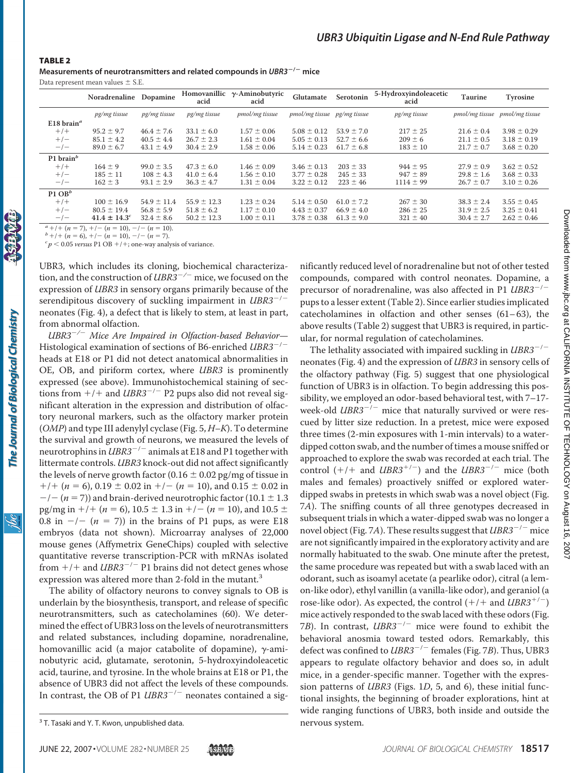#### TABLE 2

The Journal of Biological Chemistry

**Measurements of neurotransmitters and related compounds in** *UBR3***/ mice**

Data represent mean values  $\pm$  S.E.

|                                     | Noradrenaline                | Dopamine        | Homovanillic<br>acid | $\gamma$ -Aminobutyric<br>acid | Glutamate                   | Serotonin      | 5-Hydroxyindoleacetic<br>acid | <b>Taurine</b> | Tyrosine                      |
|-------------------------------------|------------------------------|-----------------|----------------------|--------------------------------|-----------------------------|----------------|-------------------------------|----------------|-------------------------------|
|                                     | pg/mg tissue                 | pg/mg tissue    | pg/mg tissue         | pmol/mg tissue                 | pmol/mg tissue pg/mg tissue |                | pg/mg tissue                  |                | pmol/mg tissue pmol/mg tissue |
| E18 brain <sup><math>a</math></sup> |                              |                 |                      |                                |                             |                |                               |                |                               |
| $+$ / $+$                           | $95.2 \pm 9.7$               | $46.4 \pm 7.6$  | $33.1 \pm 6.0$       | $1.57 \pm 0.06$                | $5.08 \pm 0.12$             | $53.9 \pm 7.0$ | $217 \pm 25$                  | $21.6 \pm 0.4$ | $3.98 \pm 0.29$               |
| $+/-$                               | $85.1 \pm 4.2$               | $40.5 \pm 4.4$  | $26.7 \pm 2.3$       | $1.61 \pm 0.04$                | $5.05 \pm 0.13$             | $52.7 \pm 6.6$ | $209 \pm 6$                   | $21.1 \pm 0.5$ | $3.18 \pm 0.19$               |
| $-/-$                               | $89.0 \pm 6.7$               | $43.1 \pm 4.9$  | $30.4 \pm 2.9$       | $1.58 \pm 0.06$                | $5.14 \pm 0.23$             | $61.7 \pm 6.8$ | $183 \pm 10$                  | $21.7 \pm 0.7$ | $3.68 \pm 0.20$               |
| P1 brain $^b$                       |                              |                 |                      |                                |                             |                |                               |                |                               |
| $+$ / $+$                           | $164 \pm 9$                  | $99.0 \pm 3.5$  | $47.3 \pm 6.0$       | $1.46 \pm 0.09$                | $3.46 \pm 0.13$             | $203 \pm 33$   | $944 \pm 95$                  | $27.9 \pm 0.9$ | $3.62 \pm 0.52$               |
| $+/-$                               | $185 \pm 11$                 | $108 \pm 4.3$   | $41.0 \pm 6.4$       | $1.56 \pm 0.10$                | $3.77 \pm 0.28$             | $245 \pm 33$   | $947 \pm 89$                  | $29.8 \pm 1.6$ | $3.68 \pm 0.33$               |
| $-/-$                               | $162 \pm 3$                  | $93.1 \pm 2.9$  | $36.3 \pm 4.7$       | $1.31 \pm 0.04$                | $3.22 \pm 0.12$             | $223 \pm 46$   | $1114 \pm 99$                 | $26.7 \pm 0.7$ | $3.10 \pm 0.26$               |
| $P1$ OB <sup>b</sup>                |                              |                 |                      |                                |                             |                |                               |                |                               |
| $+$ / $+$                           | $100 \pm 16.9$               | $54.9 \pm 11.4$ | $55.9 \pm 12.3$      | $1.23 \pm 0.24$                | $5.14 \pm 0.50$             | $61.0 \pm 7.2$ | $267 \pm 30$                  | $38.3 \pm 2.4$ | $3.55 \pm 0.45$               |
| $+/-$                               | $80.5 \pm 19.4$              | $56.8 \pm 5.9$  | $51.8 \pm 6.2$       | $1.17 \pm 0.10$                | $4.43 \pm 0.37$             | $66.9 \pm 4.0$ | $286 \pm 25$                  | $31.9 \pm 2.5$ | $3.25 \pm 0.41$               |
| $-/-$                               | $41.4 \pm 14.3$ <sup>c</sup> | $32.4 \pm 8.6$  | $50.2 \pm 12.3$      | $1.00 \pm 0.11$                | $3.78 \pm 0.38$             | $61.3 \pm 9.0$ | $321 \pm 40$                  | $30.4 \pm 2.7$ | $2.62 \pm 0.46$               |

*a*<sub>+/+</sub> (*n* = 7), +/- (*n* = 10), -/- (*n* = 10).<br> *b*<sub>+/+</sub> (*n* = 6), +/- (*n* = 10), -/- (*n* = 7).

 $p^c p$  < 0.05 *versus* P1 OB +/+; one-way analysis of variance.

UBR3, which includes its cloning, biochemical characterization, and the construction of *UBR3<sup>-/-</sup>* mice, we focused on the expression of *UBR3* in sensory organs primarily because of the serendipitous discovery of suckling impairment in *UBR3<sup>-/-*</sup> neonates (Fig. 4), a defect that is likely to stem, at least in part, from abnormal olfaction.

*UBR3/ Mice Are Impaired in Olfaction-based Behavior*— Histological examination of sections of B6-enriched *UBR3<sup>-/-*</sup> heads at E18 or P1 did not detect anatomical abnormalities in OE, OB, and piriform cortex, where *UBR3* is prominently expressed (see above). Immunohistochemical staining of sections from  $+/+$  and *UBR3<sup>-/-</sup>* P2 pups also did not reveal significant alteration in the expression and distribution of olfactory neuronal markers, such as the olfactory marker protein (*OMP*) and type III adenylyl cyclase (Fig. 5, *H–K*). To determine the survival and growth of neurons, we measured the levels of neurotrophins in  $UBR3^{-/-}$  animals at E18 and P1 together with littermate controls. *UBR3* knock-out did not affect significantly the levels of nerve growth factor (0.16  $\pm$  0.02 pg/mg of tissue in  $+/- (n = 6)$ , 0.19  $\pm$  0.02 in  $+/- (n = 10)$ , and 0.15  $\pm$  0.02 in  $-/- (n = 7)$ ) and brain-derived neurotrophic factor (10.1  $\pm$  1.3 pg/mg in  $+$ / $+$  (*n* = 6), 10.5  $\pm$  1.3 in  $+$ / $-$  (*n* = 10), and 10.5  $\pm$ 0.8 in  $-/-$  ( $n = 7$ )) in the brains of P1 pups, as were E18 embryos (data not shown). Microarray analyses of 22,000 mouse genes (Affymetrix GeneChips) coupled with selective quantitative reverse transcription-PCR with mRNAs isolated from  $+/+$  and *UBR3<sup>-/-</sup>* P1 brains did not detect genes whose expression was altered more than 2-fold in the mutant.<sup>3</sup>

The ability of olfactory neurons to convey signals to OB is underlain by the biosynthesis, transport, and release of specific neurotransmitters, such as catecholamines (60). We determined the effect of UBR3 loss on the levels of neurotransmitters and related substances, including dopamine, noradrenaline, homovanillic acid (a major catabolite of dopamine),  $\gamma$ -aminobutyric acid, glutamate, serotonin, 5-hydroxyindoleacetic acid, taurine, and tyrosine. In the whole brains at E18 or P1, the absence of UBR3 did not affect the levels of these compounds. In contrast, the OB of P1 *UBR3<sup>-/-</sup>* neonates contained a sig-

nificantly reduced level of noradrenaline but not of other tested compounds, compared with control neonates. Dopamine, a precursor of noradrenaline, was also affected in P1 *UBR3<sup>-/-*</sup> pups to a lesser extent (Table 2). Since earlier studies implicated catecholamines in olfaction and other senses  $(61-63)$ , the above results (Table 2) suggest that UBR3 is required, in particular, for normal regulation of catecholamines.

The lethality associated with impaired suckling in *UBR3<sup>-/-*</sup> neonates (Fig. 4) and the expression of *UBR3* in sensory cells of the olfactory pathway (Fig. 5) suggest that one physiological function of UBR3 is in olfaction. To begin addressing this possibility, we employed an odor-based behavioral test, with 7–17 week-old  $UBR3^{-/-}$  mice that naturally survived or were rescued by litter size reduction. In a pretest, mice were exposed three times (2-min exposures with 1-min intervals) to a waterdipped cotton swab, and the number of times a mouse sniffed or approached to explore the swab was recorded at each trial. The control  $(+/+$  and *UBR3*<sup>+/-</sup>) and the *UBR3*<sup>-/-</sup> mice (both males and females) proactively sniffed or explored waterdipped swabs in pretests in which swab was a novel object (Fig. 7*A*). The sniffing counts of all three genotypes decreased in subsequent trials in which a water-dipped swab was no longer a novel object (Fig. 7A). These results suggest that *UBR3<sup>-/-</sup>* mice are not significantly impaired in the exploratory activity and are normally habituated to the swab. One minute after the pretest, the same procedure was repeated but with a swab laced with an odorant, such as isoamyl acetate (a pearlike odor), citral (a lemon-like odor), ethyl vanillin (a vanilla-like odor), and geraniol (a rose-like odor). As expected, the control  $(+/+$  and  $UBR3^{+/-})$ mice actively responded to the swab laced with these odors (Fig. 7*B*). In contrast, *UBR3<sup>-/-</sup>* mice were found to exhibit the behavioral anosmia toward tested odors. Remarkably, this defect was confined to *UBR3<sup>-/-</sup>* females (Fig. 7*B*). Thus, UBR3 appears to regulate olfactory behavior and does so, in adult mice, in a gender-specific manner. Together with the expression patterns of *UBR3* (Figs. 1*D*, 5, and 6), these initial functional insights, the beginning of broader explorations, hint at wide ranging functions of UBR3, both inside and outside the

<sup>&</sup>lt;sup>3</sup> T. Tasaki and Y. T. Kwon, unpublished data. The mervous system.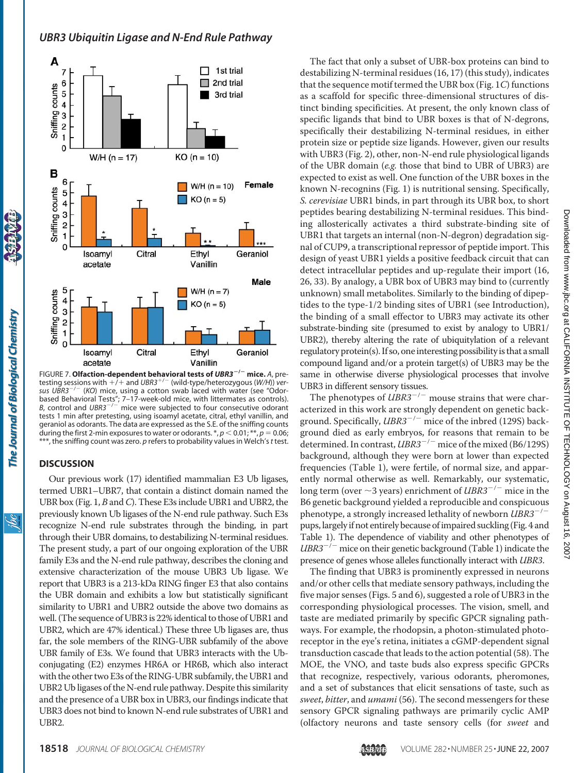

FIGURE 7. **Olfaction-dependent behavioral tests of** *UBR3***/ mice.** *A*, pretesting sessions with  $+/-$  and *UBR3<sup>+/-</sup>* (wild-type/heterozygous (*W/H*)) *ver*sus UBR3<sup>-/-</sup> (KO) mice, using a cotton swab laced with water (see "Odorbased Behavioral Tests"; 7–17-week-old mice, with littermates as controls).<br>*B*, control and *UBR3<sup>-/-</sup>* mice were subjected to four consecutive odorant tests 1 min after pretesting, using isoamyl acetate, citral, ethyl vanillin, and geraniol as odorants. The data are expressed as the S.E. of the sniffing counts during the first 2-min exposures to water or odorants.  $\alpha, p < 0.01; \alpha, p = 0.06;$ \*\*\*, the sniffing count was zero. *p* refers to probability values in Welch's*t* test.

#### **DISCUSSION**

Our previous work (17) identified mammalian E3 Ub ligases, termed UBR1–UBR7, that contain a distinct domain named the UBR box (Fig. 1, *B* and*C*). These E3s include UBR1 and UBR2, the previously known Ub ligases of the N-end rule pathway. Such E3s recognize N-end rule substrates through the binding, in part through their UBR domains, to destabilizing N-terminal residues. The present study, a part of our ongoing exploration of the UBR family E3s and the N-end rule pathway, describes the cloning and extensive characterization of the mouse UBR3 Ub ligase. We report that UBR3 is a 213-kDa RING finger E3 that also contains the UBR domain and exhibits a low but statistically significant similarity to UBR1 and UBR2 outside the above two domains as well. (The sequence of UBR3 is 22% identical to those of UBR1 and UBR2, which are 47% identical.) These three Ub ligases are, thus far, the sole members of the RING-UBR subfamily of the above UBR family of E3s. We found that UBR3 interacts with the Ubconjugating (E2) enzymes HR6A or HR6B, which also interact with the other two E3s of the RING-UBR subfamily, the UBR1 and UBR2 Ub ligases of the N-end rule pathway. Despite this similarity and the presence of a UBR box in UBR3, our findings indicate that UBR3 does not bind to known N-end rule substrates of UBR1 and UBR2.

The fact that only a subset of UBR-box proteins can bind to destabilizing N-terminal residues (16, 17) (this study), indicates that the sequence motif termed the UBR box (Fig. 1*C*) functions as a scaffold for specific three-dimensional structures of distinct binding specificities. At present, the only known class of specific ligands that bind to UBR boxes is that of N-degrons, specifically their destabilizing N-terminal residues, in either protein size or peptide size ligands. However, given our results with UBR3 (Fig. 2), other, non-N-end rule physiological ligands of the UBR domain (*e.g.* those that bind to UBR of UBR3) are expected to exist as well. One function of the UBR boxes in the known N-recognins (Fig. 1) is nutritional sensing. Specifically, *S. cerevisiae* UBR1 binds, in part through its UBR box, to short peptides bearing destabilizing N-terminal residues. This binding allosterically activates a third substrate-binding site of UBR1 that targets an internal (non-N-degron) degradation signal of CUP9, a transcriptional repressor of peptide import. This design of yeast UBR1 yields a positive feedback circuit that can detect intracellular peptides and up-regulate their import (16, 26, 33). By analogy, a UBR box of UBR3 may bind to (currently unknown) small metabolites. Similarly to the binding of dipeptides to the type-1/2 binding sites of UBR1 (see Introduction), the binding of a small effector to UBR3 may activate its other substrate-binding site (presumed to exist by analogy to UBR1/ UBR2), thereby altering the rate of ubiquitylation of a relevant regulatory protein(s). If so, one interesting possibility is that a small compound ligand and/or a protein target(s) of UBR3 may be the same in otherwise diverse physiological processes that involve UBR3 in different sensory tissues.

The phenotypes of  $UBR3^{-/-}$  mouse strains that were characterized in this work are strongly dependent on genetic background. Specifically, *UBR3<sup>-/-</sup>* mice of the inbred (129S) background died as early embryos, for reasons that remain to be determined. In contrast, *UBR3<sup>-/-</sup>* mice of the mixed (B6/129S) background, although they were born at lower than expected frequencies (Table 1), were fertile, of normal size, and apparently normal otherwise as well. Remarkably, our systematic, long term (over  $\sim$ 3 years) enrichment of *UBR3<sup>-/-</sup>* mice in the B6 genetic background yielded a reproducible and conspicuous phenotype, a strongly increased lethality of newborn *UBR3<sup>-/-</sup>* pups, largely if not entirely because of impaired suckling (Fig. 4 and Table 1). The dependence of viability and other phenotypes of  $UBR3^{-/-}$  mice on their genetic background (Table 1) indicate the presence of genes whose alleles functionally interact with *UBR3*.

The finding that UBR3 is prominently expressed in neurons and/or other cells that mediate sensory pathways, including the five major senses (Figs. 5 and 6), suggested a role of UBR3 in the corresponding physiological processes. The vision, smell, and taste are mediated primarily by specific GPCR signaling pathways. For example, the rhodopsin, a photon-stimulated photoreceptor in the eye's retina, initiates a cGMP-dependent signal transduction cascade that leads to the action potential (58). The MOE, the VNO, and taste buds also express specific GPCRs that recognize, respectively, various odorants, pheromones, and a set of substances that elicit sensations of taste, such as *sweet*, *bitter*, and *umami* (56). The second messengers for these sensory GPCR signaling pathways are primarily cyclic AMP (olfactory neurons and taste sensory cells (for *sweet* and

ibc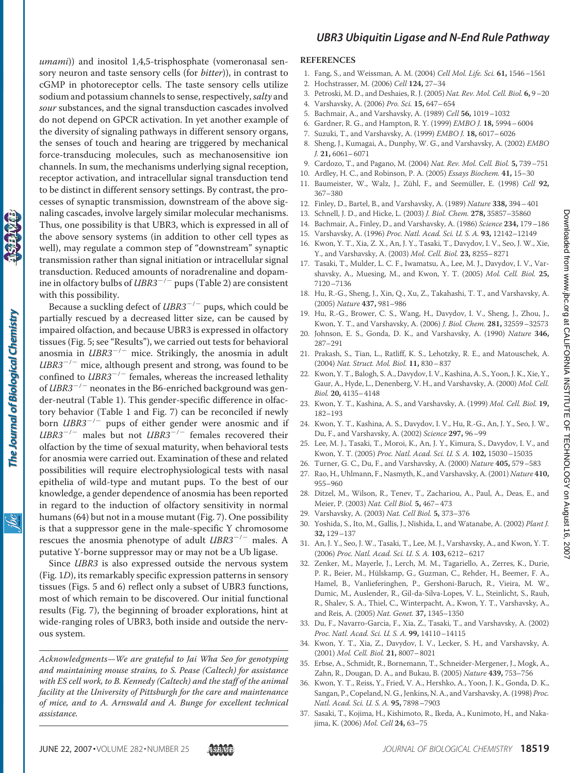*umami*)) and inositol 1,4,5-trisphosphate (vomeronasal sensory neuron and taste sensory cells (for *bitter*)), in contrast to cGMP in photoreceptor cells. The taste sensory cells utilize sodium and potassium channels to sense, respectively,*salty* and *sour* substances, and the signal transduction cascades involved do not depend on GPCR activation. In yet another example of the diversity of signaling pathways in different sensory organs, the senses of touch and hearing are triggered by mechanical force-transducing molecules, such as mechanosensitive ion channels. In sum, the mechanisms underlying signal reception, receptor activation, and intracellular signal transduction tend to be distinct in different sensory settings. By contrast, the processes of synaptic transmission, downstream of the above signaling cascades, involve largely similar molecular mechanisms. Thus, one possibility is that UBR3, which is expressed in all of the above sensory systems (in addition to other cell types as well), may regulate a common step of "downstream" synaptic transmission rather than signal initiation or intracellular signal transduction. Reduced amounts of noradrenaline and dopamine in olfactory bulbs of *UBR3<sup>-/-</sup>* pups (Table 2) are consistent with this possibility.

Because a suckling defect of *UBR3<sup>-/-</sup>* pups, which could be partially rescued by a decreased litter size, can be caused by impaired olfaction, and because UBR3 is expressed in olfactory tissues (Fig. 5; see "Results"), we carried out tests for behavioral anosmia in  $UBR3^{-/-}$  mice. Strikingly, the anosmia in adult  $UBR3^{-/-}$  mice, although present and strong, was found to be confined to  $UBR3^{-/-}$  females, whereas the increased lethality of *UBR3<sup>-/-</sup>* neonates in the B6-enriched background was gender-neutral (Table 1). This gender-specific difference in olfactory behavior (Table 1 and Fig. 7) can be reconciled if newly born  $UBR3^{-/-}$  pups of either gender were anosmic and if  $UBR3^{-/-}$  males but not  $UBR3^{-/-}$  females recovered their olfaction by the time of sexual maturity, when behavioral tests for anosmia were carried out. Examination of these and related possibilities will require electrophysiological tests with nasal epithelia of wild-type and mutant pups. To the best of our knowledge, a gender dependence of anosmia has been reported in regard to the induction of olfactory sensitivity in normal humans (64) but not in a mouse mutant (Fig. 7). One possibility is that a suppressor gene in the male-specific Y chromosome rescues the anosmia phenotype of adult  $UBR3^{-/-}$  males. A putative Y-borne suppressor may or may not be a Ub ligase.

Since *UBR3* is also expressed outside the nervous system (Fig. 1*D*), its remarkably specific expression patterns in sensory tissues (Figs. 5 and 6) reflect only a subset of UBR3 functions, most of which remain to be discovered. Our initial functional results (Fig. 7), the beginning of broader explorations, hint at wide-ranging roles of UBR3, both inside and outside the nervous system.

*Acknowledgments—We are grateful to Jai Wha Seo for genotyping and maintaining mouse strains, to S. Pease (Caltech) for assistance with ES cell work, to B. Kennedy (Caltech) and the staff of the animal facility at the University of Pittsburgh for the care and maintenance of mice, and to A. Arnswald and A. Bunge for excellent technical assistance.*

# *UBR3 Ubiquitin Ligase and N-End Rule Pathway*

#### **REFERENCES**

- 1. Fang, S., and Weissman, A. M. (2004) *Cell Mol. Life. Sci.* **61,** 1546–1561
- 2. Hochstrasser, M. (2006) *Cell* **124,** 27–34
- 3. Petroski, M. D., and Deshaies, R. J. (2005) *Nat. Rev. Mol. Cell. Biol.* **6,** 9–20
- 4. Varshavsky, A. (2006) *Pro. Sci.* **15,** 647–654
- 5. Bachmair, A., and Varshavsky, A. (1989) *Cell* **56,** 1019–1032
- 6. Gardner, R. G., and Hampton, R. Y. (1999) *EMBO J.* **18,** 5994–6004
- 7. Suzuki, T., and Varshavsky, A. (1999) *EMBO J.* **18,** 6017–6026
- 8. Sheng, J., Kumagai, A., Dunphy, W. G., and Varshavsky, A. (2002) *EMBO J.* **21,** 6061–6071
- 9. Cardozo, T., and Pagano, M. (2004) *Nat. Rev. Mol. Cell. Biol.* **5,** 739–751
- 10. Ardley, H. C., and Robinson, P. A. (2005) *Essays Biochem.* **41,** 15–30
- 11. Baumeister, W., Walz, J., Zühl, F., and Seemüller, E. (1998) *Cell* 92, 367–380
- 12. Finley, D., Bartel, B., and Varshavsky, A. (1989) *Nature* **338,** 394–401
- 13. Schnell, J. D., and Hicke, L. (2003) *J. Biol. Chem.* **278,** 35857–35860
- 14. Bachmair, A., Finley, D., and Varshavsky, A. (1986) *Science* **234,** 179–186
- 15. Varshavsky, A. (1996) *Proc. Natl. Acad. Sci. U. S. A.* **93,** 12142–12149
- 16. Kwon, Y. T., Xia, Z. X., An, J. Y., Tasaki, T., Davydov, I. V., Seo, J. W., Xie, Y., and Varshavsky, A. (2003) *Mol. Cell. Biol.* **23,** 8255–8271
- 17. Tasaki, T., Mulder, L. C. F., Iwamatsu, A., Lee, M. J., Davydov, I. V., Varshavsky, A., Muesing, M., and Kwon, Y. T. (2005) *Mol. Cell. Biol.* **25,** 7120–7136
- 18. Hu, R.-G., Sheng, J., Xin, Q., Xu, Z., Takahashi, T. T., and Varshavsky, A. (2005) *Nature* **437,** 981–986
- 19. Hu, R.-G., Brower, C. S., Wang, H., Davydov, I. V., Sheng, J., Zhou, J., Kwon, Y. T., and Varshavsky, A. (2006) *J. Biol. Chem.* **281,** 32559–32573
- 20. Johnson, E. S., Gonda, D. K., and Varshavsky, A. (1990) *Nature* **346,** 287–291
- 21. Prakash, S., Tian, L., Ratliff, K. S., Lehotzky, R. E., and Matouschek, A. (2004) *Nat. Struct. Mol. Biol.* **11,** 830–837
- 22. Kwon, Y. T., Balogh, S. A., Davydov, I. V., Kashina, A. S., Yoon, J. K., Xie, Y., Gaur, A., Hyde, L., Denenberg, V. H., and Varshavsky, A. (2000) *Mol. Cell. Biol.* **20,** 4135–4148
- 23. Kwon, Y. T., Kashina, A. S., and Varshavsky, A. (1999) *Mol. Cell. Biol.* **19,** 182–193
- 24. Kwon, Y. T., Kashina, A. S., Davydov, I. V., Hu, R.-G., An, J. Y., Seo, J. W., Du, F., and Varshavsky, A. (2002) *Science* **297,** 96–99
- 25. Lee, M. J., Tasaki, T., Moroi, K., An, J. Y., Kimura, S., Davydov, I. V., and Kwon, Y. T. (2005) *Proc. Natl. Acad. Sci. U. S. A.* **102,** 15030–15035
- 26. Turner, G. C., Du, F., and Varshavsky, A. (2000) *Nature* **405,** 579–583
- 27. Rao, H., Uhlmann, F., Nasmyth, K., and Varshavsky, A. (2001) *Nature* **410,** 955–960
- 28. Ditzel, M., Wilson, R., Tenev, T., Zachariou, A., Paul, A., Deas, E., and Meier, P. (2003) *Nat. Cell Biol.* **5,** 467–473
- 29. Varshavsky, A. (2003) *Nat. Cell Biol.* **5,** 373–376
- 30. Yoshida, S., Ito, M., Gallis, J., Nishida, I., and Watanabe, A. (2002) *Plant J.* **32,** 129–137
- 31. An, J. Y., Seo, J. W., Tasaki, T., Lee, M. J., Varshavsky, A., and Kwon, Y. T. (2006) *Proc. Natl. Acad. Sci. U. S. A.* **103,** 6212–6217
- 32. Zenker, M., Mayerle, J., Lerch, M. M., Tagariello, A., Zerres, K., Durie, P. R., Beier, M., Hülskamp, G., Guzman, C., Rehder, H., Beemer, F. A., Hamel, B., Vanlieferinghen, P., Gershoni-Baruch, R., Vieira, M. W., Dumic, M., Auslender, R., Gil-da-Silva-Lopes, V. L., Steinlicht, S., Rauh, R., Shalev, S. A., Thiel, C., Winterpacht, A., Kwon, Y. T., Varshavsky, A., and Reis, A. (2005) *Nat. Genet.* **37,** 1345–1350
- 33. Du, F., Navarro-Garcia, F., Xia, Z., Tasaki, T., and Varshavsky, A. (2002) *Proc. Natl. Acad. Sci. U. S. A.* **99,** 14110–14115
- 34. Kwon, Y. T., Xia, Z., Davydov, I. V., Lecker, S. H., and Varshavsky, A. (2001) *Mol. Cell. Biol.* **21,** 8007–8021
- 35. Erbse, A., Schmidt, R., Bornemann, T., Schneider-Mergener, J., Mogk, A., Zahn, R., Dougan, D. A., and Bukau, B. (2005) *Nature* **439,** 753–756
- 36. Kwon, Y. T., Reiss, Y., Fried, V. A., Hershko, A., Yoon, J. K., Gonda, D. K., Sangan, P., Copeland, N. G., Jenkins, N. A., and Varshavsky, A. (1998) *Proc. Natl. Acad. Sci. U. S. A.* **95,** 7898–7903
- 37. Sasaki, T., Kojima, H., Kishimoto, R., Ikeda, A., Kunimoto, H., and Nakajima, K. (2006) *Mol. Cell* **24,** 63–75